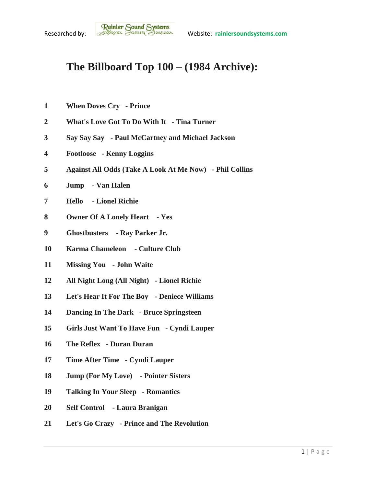## **The Billboard Top 100 – (1984 Archive):**

- **When Doves Cry - Prince**
- **What's Love Got To Do With It - Tina Turner**
- **Say Say Say - Paul McCartney and Michael Jackson**
- **Footloose - Kenny Loggins**
- **Against All Odds (Take A Look At Me Now) - Phil Collins**
- **Jump - Van Halen**
- **Hello - Lionel Richie**
- **Owner Of A Lonely Heart - Yes**
- **Ghostbusters - Ray Parker Jr.**
- **Karma Chameleon - Culture Club**
- **Missing You - John Waite**
- **All Night Long (All Night) - Lionel Richie**
- **Let's Hear It For The Boy - Deniece Williams**
- **Dancing In The Dark - Bruce Springsteen**
- **Girls Just Want To Have Fun - Cyndi Lauper**
- **The Reflex - Duran Duran**
- **Time After Time - Cyndi Lauper**
- **Jump (For My Love) - Pointer Sisters**
- **Talking In Your Sleep - Romantics**
- **Self Control - Laura Branigan**
- **Let's Go Crazy - Prince and The Revolution**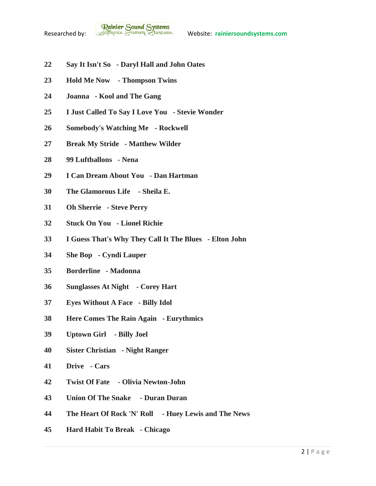**Rainier Sound Systems**<br>Researched by: *Bothus Correspondent Website:* rainiersoundsystems.com

- **Say It Isn't So - Daryl Hall and John Oates**
- **Hold Me Now - Thompson Twins**
- **Joanna - Kool and The Gang**
- **I Just Called To Say I Love You - Stevie Wonder**
- **Somebody's Watching Me - Rockwell**
- **Break My Stride - Matthew Wilder**
- **99 Luftballons - Nena**
- **I Can Dream About You - Dan Hartman**
- **The Glamorous Life - Sheila E.**
- **Oh Sherrie - Steve Perry**
- **Stuck On You - Lionel Richie**
- **I Guess That's Why They Call It The Blues - Elton John**
- **She Bop - Cyndi Lauper**
- **Borderline - Madonna**
- **Sunglasses At Night - Corey Hart**
- **Eyes Without A Face - Billy Idol**
- **Here Comes The Rain Again - Eurythmics**
- **Uptown Girl - Billy Joel**
- **Sister Christian - Night Ranger**
- **Drive - Cars**
- **Twist Of Fate - Olivia Newton-John**
- **Union Of The Snake - Duran Duran**
- **The Heart Of Rock 'N' Roll - Huey Lewis and The News**
- **Hard Habit To Break - Chicago**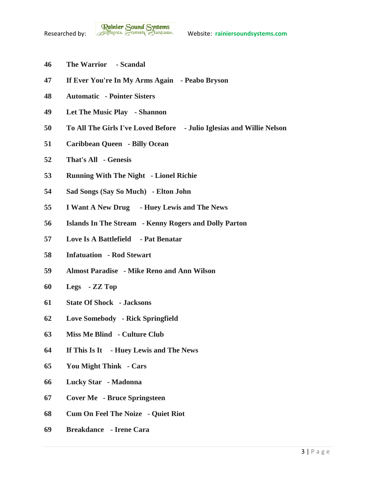- **The Warrior - Scandal**
- **If Ever You're In My Arms Again - Peabo Bryson**
- **Automatic - Pointer Sisters**
- **Let The Music Play - Shannon**
- **To All The Girls I've Loved Before - Julio Iglesias and Willie Nelson**
- **Caribbean Queen - Billy Ocean**
- **That's All - Genesis**
- **Running With The Night - Lionel Richie**
- **Sad Songs (Say So Much) - Elton John**
- **I Want A New Drug - Huey Lewis and The News**
- **Islands In The Stream - Kenny Rogers and Dolly Parton**
- **Love Is A Battlefield - Pat Benatar**
- **Infatuation - Rod Stewart**
- **Almost Paradise - Mike Reno and Ann Wilson**
- **Legs - ZZ Top**
- **State Of Shock - Jacksons**
- **Love Somebody - Rick Springfield**
- **Miss Me Blind - Culture Club**
- **If This Is It - Huey Lewis and The News**
- **You Might Think - Cars**
- **Lucky Star - Madonna**
- **Cover Me - Bruce Springsteen**
- **Cum On Feel The Noize - Quiet Riot**
- **Breakdance - Irene Cara**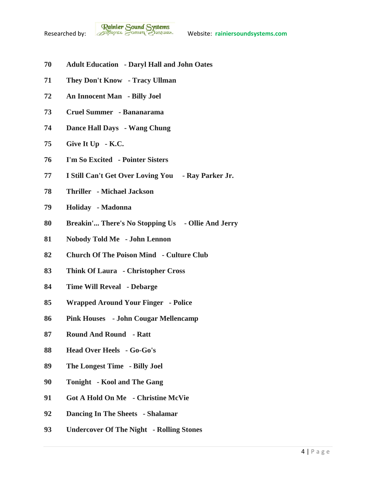

- **Adult Education - Daryl Hall and John Oates**
- **They Don't Know - Tracy Ullman**
- **An Innocent Man - Billy Joel**
- **Cruel Summer - Bananarama**
- **Dance Hall Days - Wang Chung**
- **Give It Up - K.C.**
- **I'm So Excited - Pointer Sisters**
- **I Still Can't Get Over Loving You - Ray Parker Jr.**
- **Thriller - Michael Jackson**
- **Holiday - Madonna**
- **Breakin'... There's No Stopping Us - Ollie And Jerry**
- **Nobody Told Me - John Lennon**
- **Church Of The Poison Mind - Culture Club**
- **Think Of Laura - Christopher Cross**
- **Time Will Reveal - Debarge**
- **Wrapped Around Your Finger - Police**
- **Pink Houses - John Cougar Mellencamp**
- **Round And Round - Ratt**
- **Head Over Heels - Go-Go's**
- **The Longest Time - Billy Joel**
- **Tonight - Kool and The Gang**
- **Got A Hold On Me - Christine McVie**
- **Dancing In The Sheets - Shalamar**
- **Undercover Of The Night - Rolling Stones**